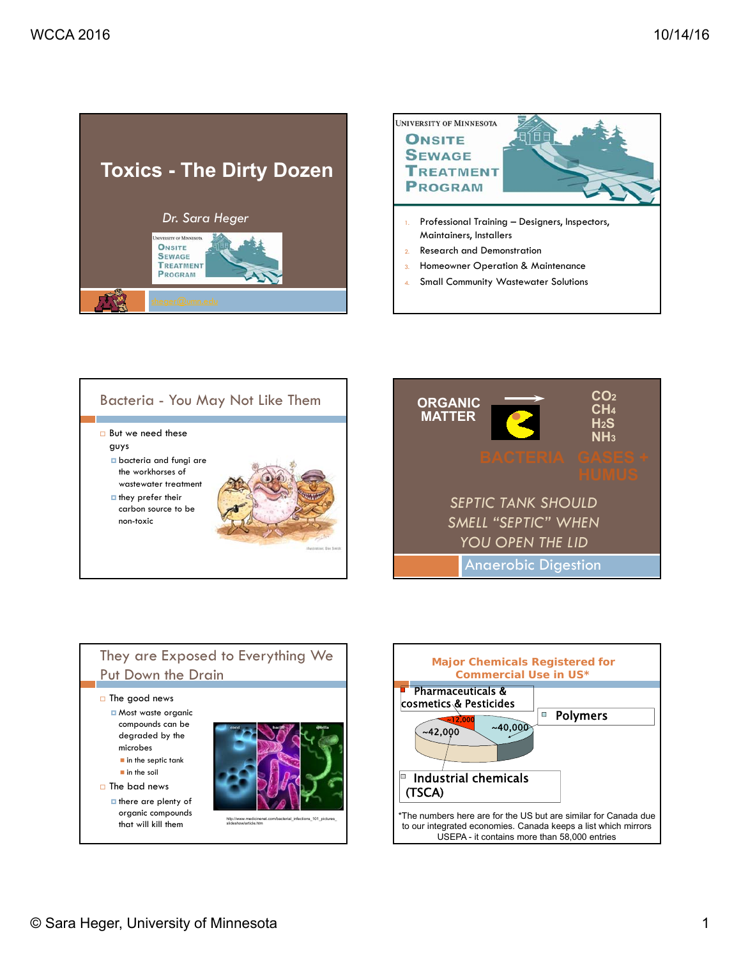









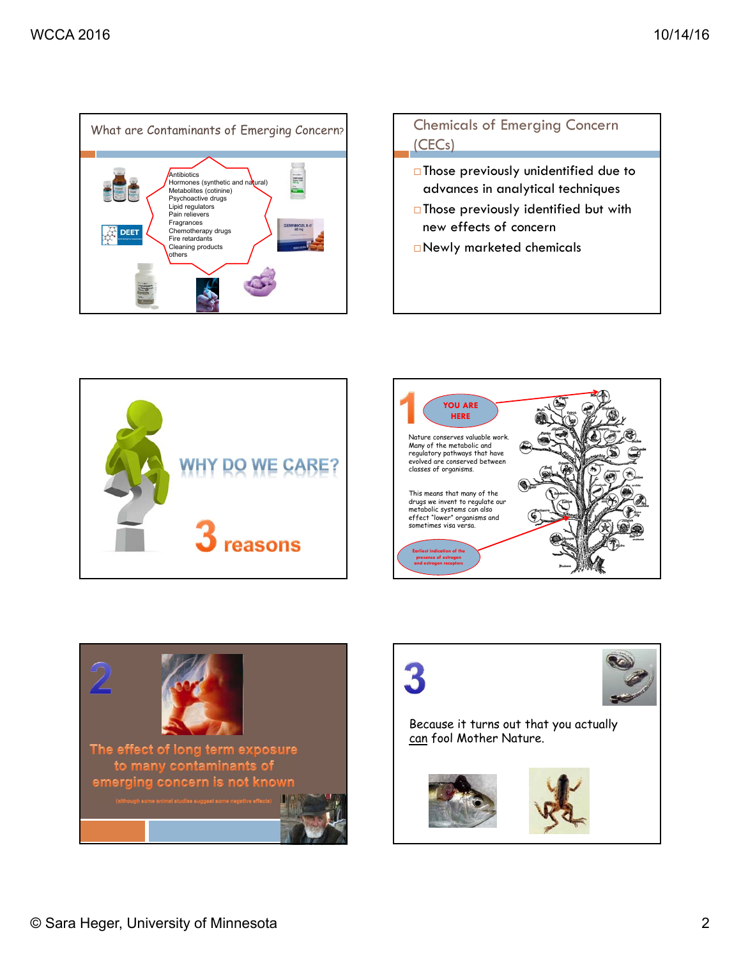



Newly marketed chemicals







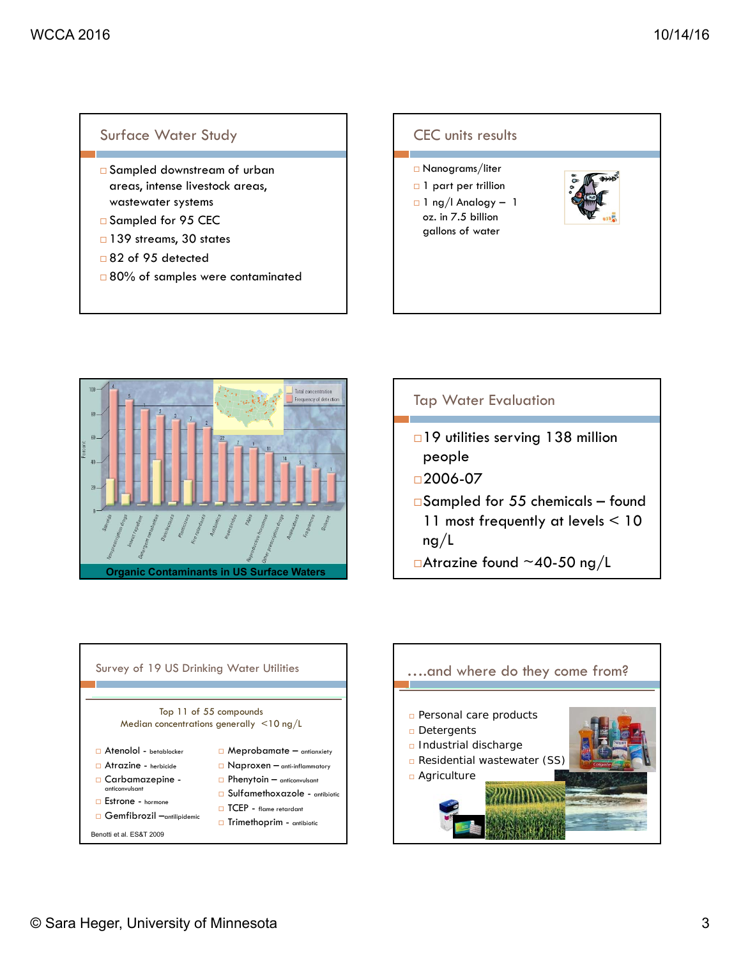#### Surface Water Study

- □ Sampled downstream of urban areas, intense livestock areas, wastewater systems
- □ Sampled for 95 CEC
- □ 139 streams, 30 states
- □82 of 95 detected
- □ 80% of samples were contaminated









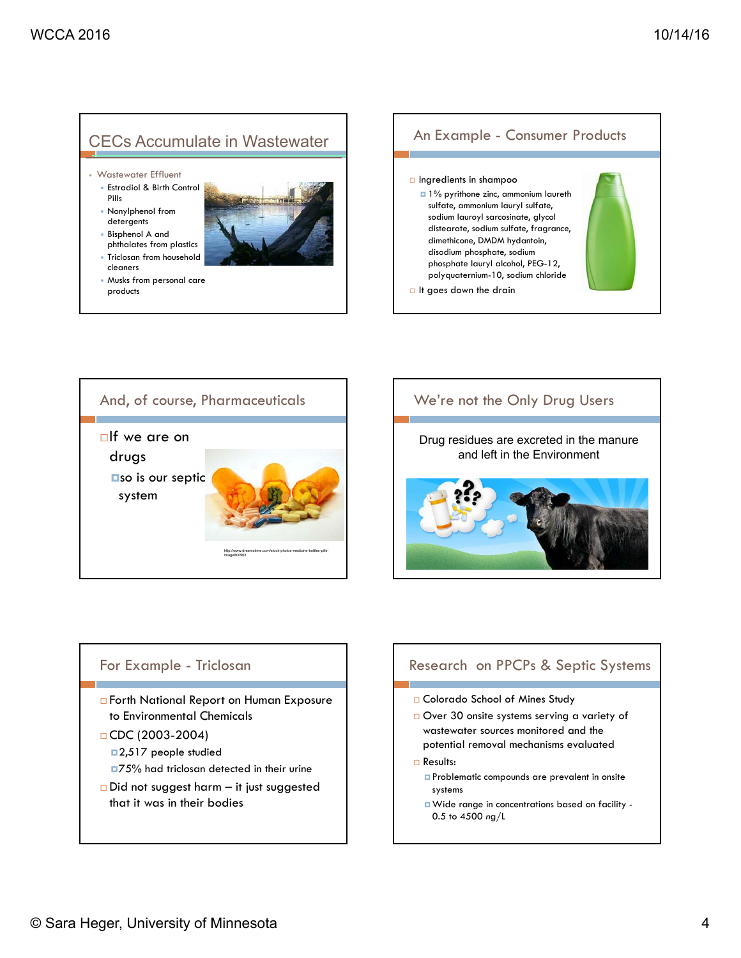# CECs Accumulate in Wastewater

- Wastewater Effluent
- Estradiol & Birth Control Pills
- Nonylphenol from detergents
- Bisphenol A and phthalates from plastics
- Triclosan from household cleaners
- Musks from personal care products





# We're not the Only Drug Users



## For Example - Triclosan

- □ Forth National Report on Human Exposure to Environmental Chemicals
- $\Box$  CDC (2003-2004) ■2,517 people studied
	- ■75% had triclosan detected in their urine
- $\Box$  Did not suggest harm it just suggested that it was in their bodies

#### Research on PPCPs & Septic Systems

- □ Colorado School of Mines Study
- Over 30 onsite systems serving a variety of wastewater sources monitored and the potential removal mechanisms evaluated
- □ Results:
	- **Problematic compounds are prevalent in onsite** systems
	- Wide range in concentrations based on facility 0.5 to 4500 *n*g/L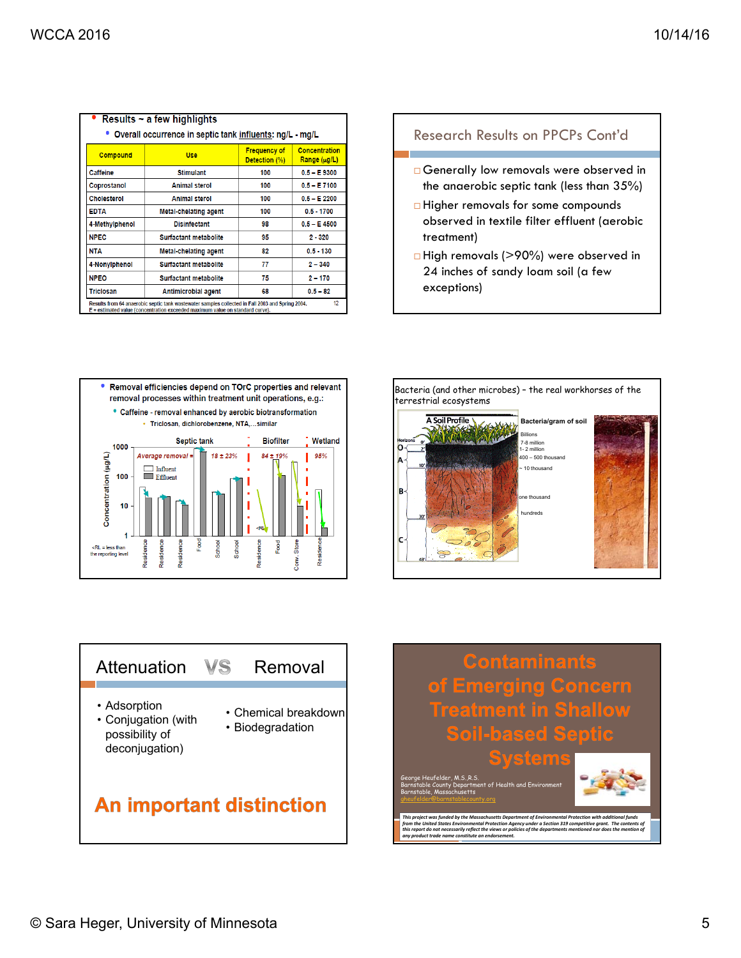| Results $\sim$ a few highlights                                                                                                                                                         |                              |                                      |                                          |  |  |
|-----------------------------------------------------------------------------------------------------------------------------------------------------------------------------------------|------------------------------|--------------------------------------|------------------------------------------|--|--|
| • Overall occurrence in septic tank influents: ng/L - mg/L                                                                                                                              |                              |                                      |                                          |  |  |
| <b>Compound</b>                                                                                                                                                                         | Use                          | <b>Frequency of</b><br>Detection (%) | <b>Concentration</b><br>$Range(\mu g/L)$ |  |  |
| <b>Caffeine</b>                                                                                                                                                                         | <b>Stimulant</b>             | 100                                  | $0.5 - E$ 9300                           |  |  |
| Coprostanol                                                                                                                                                                             | <b>Animal sterol</b>         | 100                                  | $0.5 - E7100$                            |  |  |
| <b>Cholesterol</b>                                                                                                                                                                      | <b>Animal sterol</b>         | 100                                  | $0.5 - E$ 2200                           |  |  |
| <b>EDTA</b>                                                                                                                                                                             | <b>Metal-chelating agent</b> | 100                                  | $0.5 - 1700$                             |  |  |
| 4-Methylphenol                                                                                                                                                                          | <b>Disinfectant</b>          | 98                                   | $0.5 - E 4500$                           |  |  |
| <b>NPEC</b>                                                                                                                                                                             | Surfactant metabolite        | 95                                   | $2 - 320$                                |  |  |
| <b>NTA</b>                                                                                                                                                                              | <b>Metal-chelating agent</b> | 82                                   | $0.5 - 130$                              |  |  |
| 4-Nonylphenol                                                                                                                                                                           | <b>Surfactant metabolite</b> | 77                                   | $2 - 340$                                |  |  |
| <b>NPEO</b>                                                                                                                                                                             | Surfactant metabolite        | 75                                   | $2 - 170$                                |  |  |
| <b>Triclosan</b>                                                                                                                                                                        | <b>Antimicrobial agent</b>   | 68                                   | $0.5 - 82$                               |  |  |
| 12<br>Results from 64 anaerobic septic tank wastewater samples collected in Fall 2003 and Spring 2004.<br>E = estimated value (concentration exceeded maximum value on standard curve). |                              |                                      |                                          |  |  |

#### Research Results on PPCPs Cont'd

- Generally low removals were observed in the anaerobic septic tank (less than 35%)
- □ Higher removals for some compounds observed in textile filter effluent (aerobic treatment)
- □ High removals (>90%) were observed in 24 inches of sandy loam soil (a few exceptions)









George Heufelder, M.S.,R.S. Barnstable County Department of Health and Environment Barnstable, Massachusetts gheufelder@barnstablecounty.org

This project was funded by the Massachusetts Department of Environmental Protection with additional funds<br>from the United States Environmental Protection Agency under a Section 319 competitive grant. The contents of<br>this r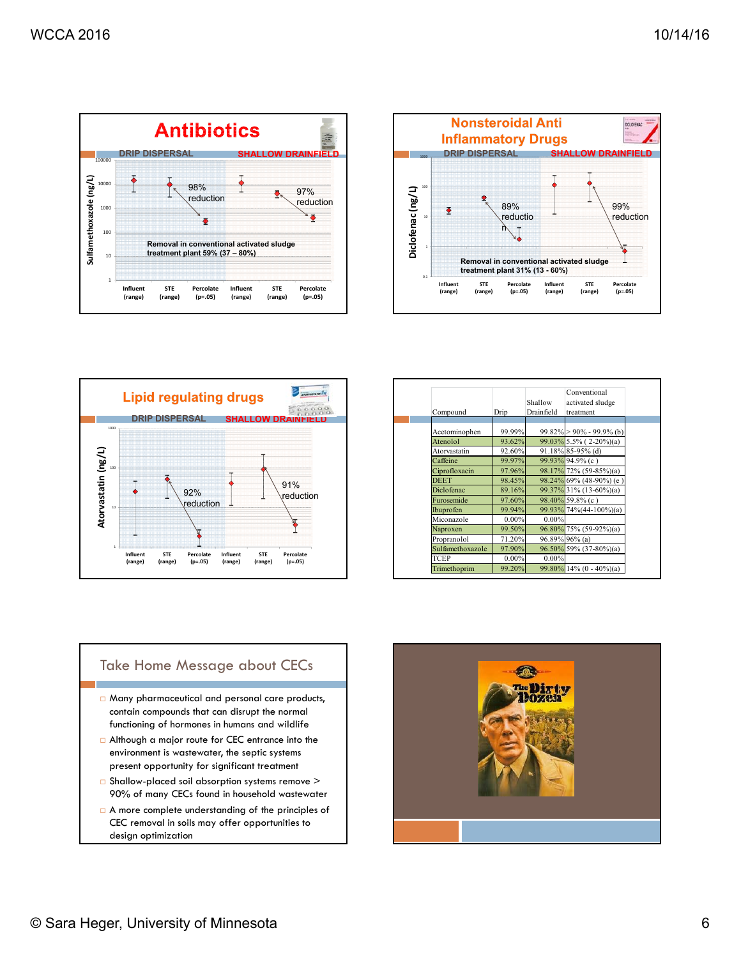





| Compound         | Drip     | Shallow<br>Drainfield | Conventional<br>activated sludge<br>treatment |
|------------------|----------|-----------------------|-----------------------------------------------|
|                  |          |                       |                                               |
| Acetominophen    | 99.99%   |                       | $99.82\%$ > 90% - 99.9% (b)                   |
| Atenolol         | 93.62%   |                       | $99.03\%$ 5.5% (2-20%)(a)                     |
| Atorvastatin     | 92.60%   |                       | 91.18% 85-95% (d)                             |
| Caffeine         | 99.97%   |                       | 99.93% 94.9% (c)                              |
| Ciprofloxacin    | 97.96%   |                       | 98.17% 72% (59-85%)(a)                        |
| <b>DEET</b>      | 98.45%   |                       | 98.24% 69% (48-90%) (e)                       |
| Diclofenac       | 89.16%   |                       | 99.37% 31% (13-60%)(a)                        |
| Furosemide       | 97.60%   |                       | 98.40% 59.8% (c)                              |
| Ibuprofen        | 99.94%   |                       | 99.93% 74%(44-100%)(a)                        |
| Miconazole       | $0.00\%$ | $0.00\%$              |                                               |
| Naproxen         | 99.50%   |                       | 96.80% 75% (59-92%)(a)                        |
| Propranolol      | 71.20%   |                       | 96.89% 96% (a)                                |
| Sulfamethoxazole | 97.90%   |                       | 96.50% 59% (37-80%)(a)                        |
| TCEP             | 0.00%    | $0.00\%$              |                                               |
| Trimethoprim     | 99.20%   |                       | $99.80\%$ 14% (0 - 40%)(a)                    |

#### Take Home Message about CECs

- Many pharmaceutical and personal care products, contain compounds that can disrupt the normal functioning of hormones in humans and wildlife
- Although a major route for CEC entrance into the environment is wastewater, the septic systems present opportunity for significant treatment
- Shallow-placed soil absorption systems remove > 90% of many CECs found in household wastewater
- A more complete understanding of the principles of CEC removal in soils may offer opportunities to design optimization

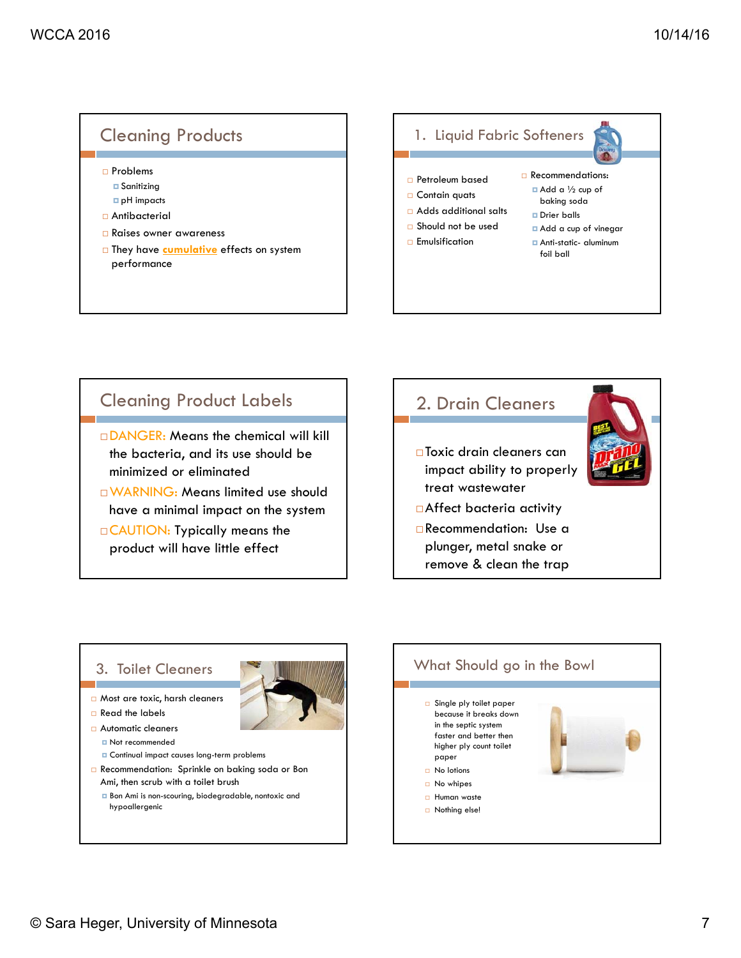



# Cleaning Product Labels

 DANGER: Means the chemical will kill the bacteria, and its use should be minimized or eliminated

WARNING: Means limited use should have a minimal impact on the system

 CAUTION: Typically means the product will have little effect

# 2. Drain Cleaners □Toxic drain cleaners can impact ability to properly treat wastewater Affect bacteria activity Recommendation: Use a plunger, metal snake or remove & clean the trap

#### 3. Toilet Cleaners

- Most are toxic, harsh cleaners
- Read the labels
- □ Automatic cleaners **Not recommended**

**D** Continual impact causes long-term problems

Recommendation: Sprinkle on baking soda or Bon Ami, then scrub with a toilet brush

Bon Ami is non-scouring, biodegradable, nontoxic and hypoallergenic

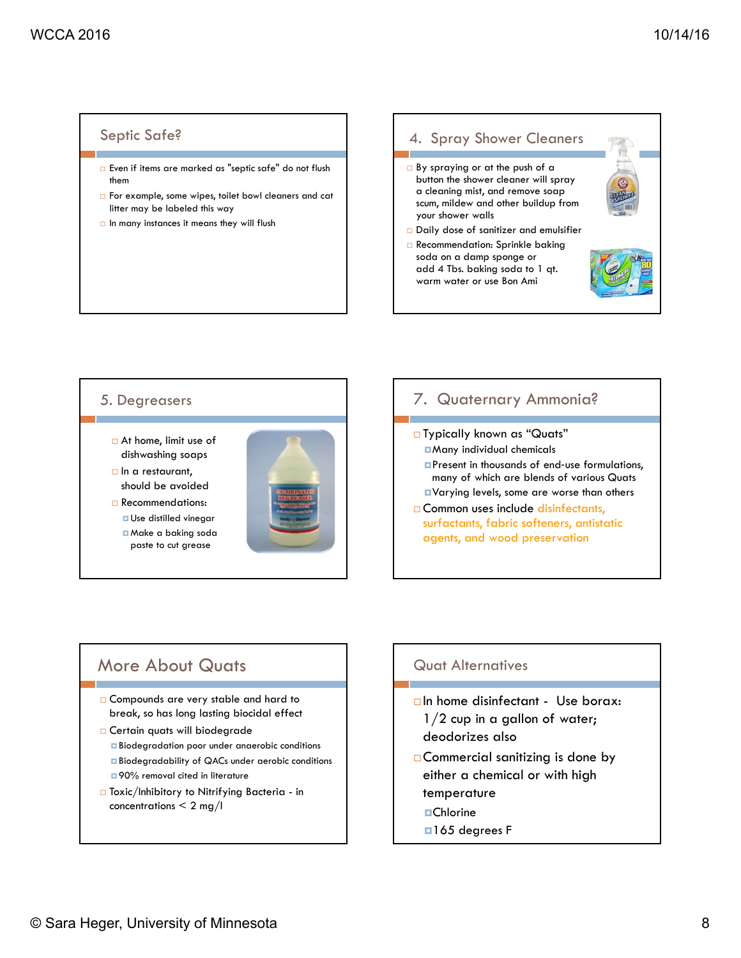#### Septic Safe?

- Even if items are marked as "septic safe" do not flush them
- For example, some wipes, toilet bowl cleaners and cat litter may be labeled this way
- $\Box$  In many instances it means they will flush

#### 4. Spray Shower Cleaners By spraying or at the push of a button the shower cleaner will spray a cleaning mist, and remove soap scum, mildew and other buildup from your shower walls □ Daily dose of sanitizer and emulsifier **Recommendation: Sprinkle baking** soda on a damp sponge or add 4 Tbs. baking soda to 1 qt. warm water or use Bon Ami

#### 5. Degreasers

- At home, limit use of dishwashing soaps
- $\Box$  In a restaurant, should be avoided
- Recommendations: **u** Use distilled vinegar Make a baking soda paste to cut grease



#### 7. Quaternary Ammonia?

□ Typically known as "Quats" Many individual chemicals **Present in thousands of end-use formulations,** many of which are blends of various Quats Varying levels, some are worse than others □ Common uses include disinfectants, surfactants, fabric softeners, antistatic agents, and wood preservation

## More About Quats

- □ Compounds are very stable and hard to break, so has long lasting biocidal effect
- **Certain quats will biodegrade** 
	- Biodegradation poor under anaerobic conditions
	- **Biodegradability of QACs under aerobic conditions**  $\Box$  90% removal cited in literature
- Toxic/Inhibitory to Nitrifying Bacteria in concentrations  $\leq 2$  mg/l

## Quat Alternatives

- $\Box$  In home disinfectant Use borax:
- $1/2$  cup in a gallon of water; deodorizes also
- □ Commercial sanitizing is done by either a chemical or with high temperature
	- **□**Chlorine
	- □165 degrees F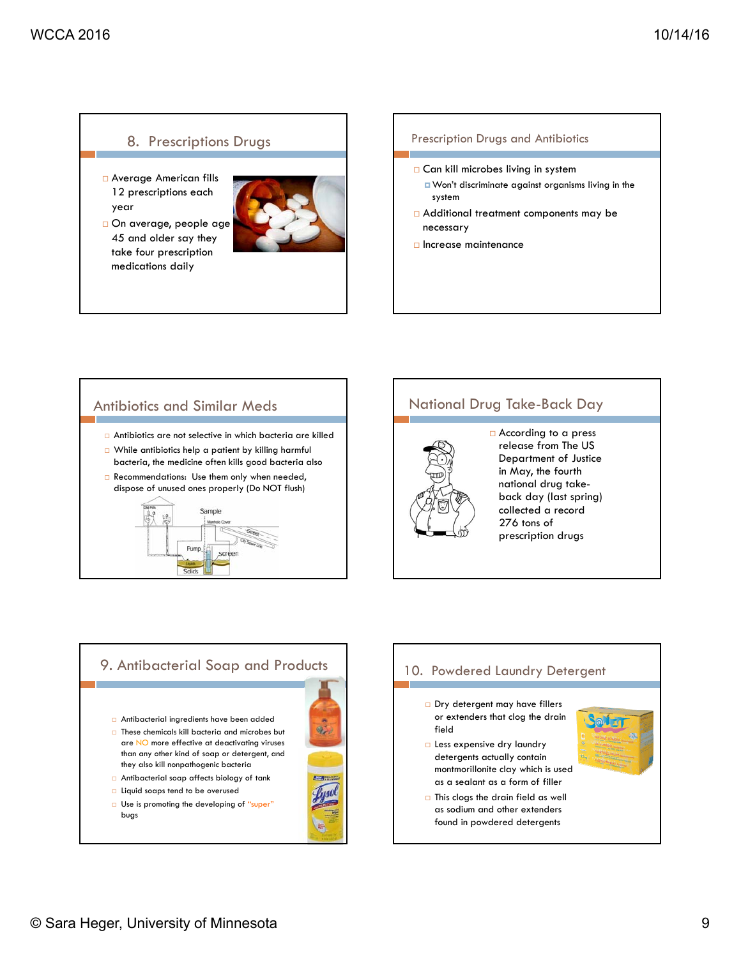#### 8. Prescriptions Drugs

- Average American fills 12 prescriptions each year
- On average, people age 45 and older say they take four prescription medications daily



#### Prescription Drugs and Antibiotics

- □ Can kill microbes living in system
	- **D** Won't discriminate against organisms living in the system
- Additional treatment components may be necessary
- $\Box$  Increase maintenance

# Antibiotics and Similar Meds

- Antibiotics are not selective in which bacteria are killed
- While antibiotics help a patient by killing harmful bacteria, the medicine often kills good bacteria also
- Recommendations: Use them only when needed, dispose of unused ones properly (Do NOT flush)



# National Drug Take-Back Day



□ According to a press release from The US Department of Justice in May, the fourth national drug takeback day (last spring) collected a record 276 tons of prescription drugs



# 10. Powdered Laundry Detergent

- Dry detergent may have fillers or extenders that clog the drain field
- **Less expensive dry laundry** detergents actually contain montmorillonite clay which is used as a sealant as a form of filler
- $\Box$  This clogs the drain field as well as sodium and other extenders found in powdered detergents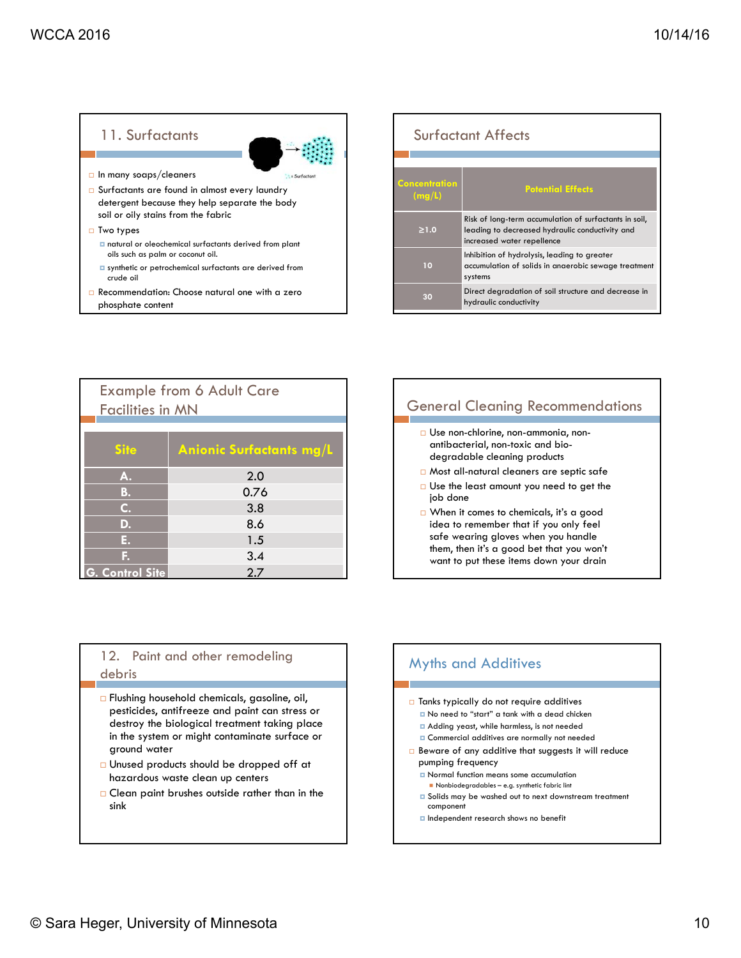### 11. Surfactants



- $\Box$  In many soaps/cleaners
- □ Surfactants are found in almost every laundry detergent because they help separate the body soil or oily stains from the fabric
- $\Box$  Two types
	- natural or oleochemical surfactants derived from plant oils such as palm or coconut oil.
	- synthetic or petrochemical surfactants are derived from crude oil
- Recommendation: Choose natural one with a zero phosphate content

| <b>Surfactant Affects</b> |                                                                                                                                         |  |  |  |
|---------------------------|-----------------------------------------------------------------------------------------------------------------------------------------|--|--|--|
| Concentration<br>(mg/L)   | <b>Potential Effects</b>                                                                                                                |  |  |  |
| $\geq 1.0$                | Risk of long-term accumulation of surfactants in soil,<br>leading to decreased hydraulic conductivity and<br>increased water repellence |  |  |  |
| 10                        | Inhibition of hydrolysis, leading to greater<br>accumulation of solids in anaerobic sewage treatment<br>systems                         |  |  |  |
| 30                        | Direct degradation of soil structure and decrease in<br>hydraulic conductivity                                                          |  |  |  |

| <b>Example from 6 Adult Care</b><br><b>Facilities in MN</b> |                                 |  |
|-------------------------------------------------------------|---------------------------------|--|
| <b>Site</b>                                                 | <b>Anionic Surfactants mg/L</b> |  |
| A.                                                          | 2.0                             |  |
| <b>B.</b>                                                   | 0.76                            |  |
| $C_{\cdot}$                                                 | 3.8                             |  |
| D.                                                          | 8.6                             |  |
| Е.                                                          | 1.5                             |  |
| E.                                                          | 3.4                             |  |
| <b>Control Site</b>                                         | 2.7                             |  |

# General Cleaning Recommendations Use non-chlorine, non-ammonia, non-

- antibacterial, non-toxic and biodegradable cleaning products
- Most all-natural cleaners are septic safe
- □ Use the least amount you need to get the job done
- When it comes to chemicals, it's a good idea to remember that if you only feel safe wearing gloves when you handle them, then it's a good bet that you won't want to put these items down your drain

#### 12. Paint and other remodeling debris

- Flushing household chemicals, gasoline, oil, pesticides, antifreeze and paint can stress or destroy the biological treatment taking place in the system or might contaminate surface or ground water
- Unused products should be dropped off at hazardous waste clean up centers
- Clean paint brushes outside rather than in the sink

# Myths and Additives

- □ Tanks typically do not require additives No need to "start" a tank with a dead chicken
	- Adding yeast, while harmless, is not needed
	- **D** Commercial additives are normally not needed
- Beware of any additive that suggests it will reduce pumping frequency
	- **D** Normal function means some accumulation
	- Nonbiodegradables e.g. synthetic fabric lint  $\Box$  Solids may be washed out to next downstream treatment component
	- **Independent research shows no benefit**